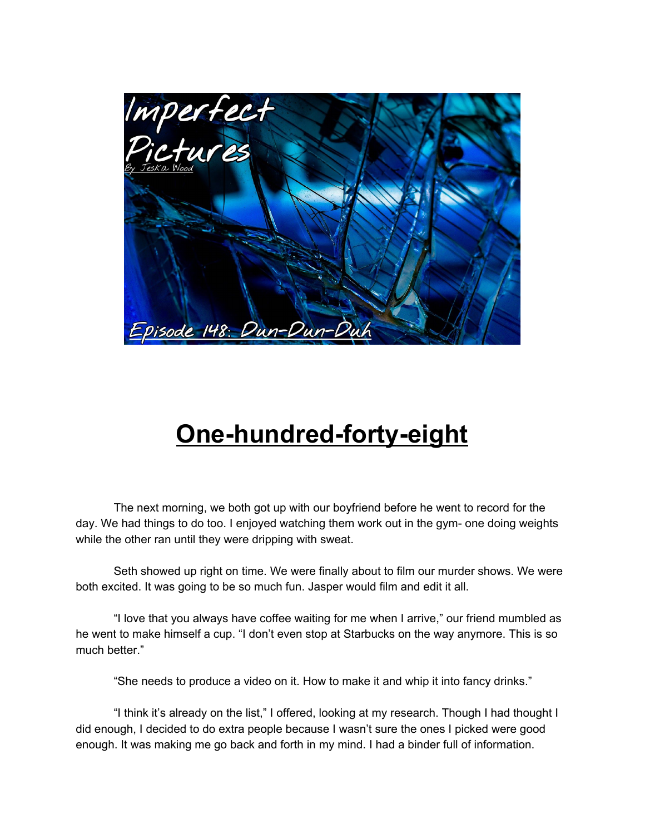

## **One-hundred-forty-eight**

The next morning, we both got up with our boyfriend before he went to record for the day. We had things to do too. I enjoyed watching them work out in the gym- one doing weights while the other ran until they were dripping with sweat.

Seth showed up right on time. We were finally about to film our murder shows. We were both excited. It was going to be so much fun. Jasper would film and edit it all.

"I love that you always have coffee waiting for me when I arrive," our friend mumbled as he went to make himself a cup. "I don't even stop at Starbucks on the way anymore. This is so much better."

"She needs to produce a video on it. How to make it and whip it into fancy drinks."

"I think it's already on the list," I offered, looking at my research. Though I had thought I did enough, I decided to do extra people because I wasn't sure the ones I picked were good enough. It was making me go back and forth in my mind. I had a binder full of information.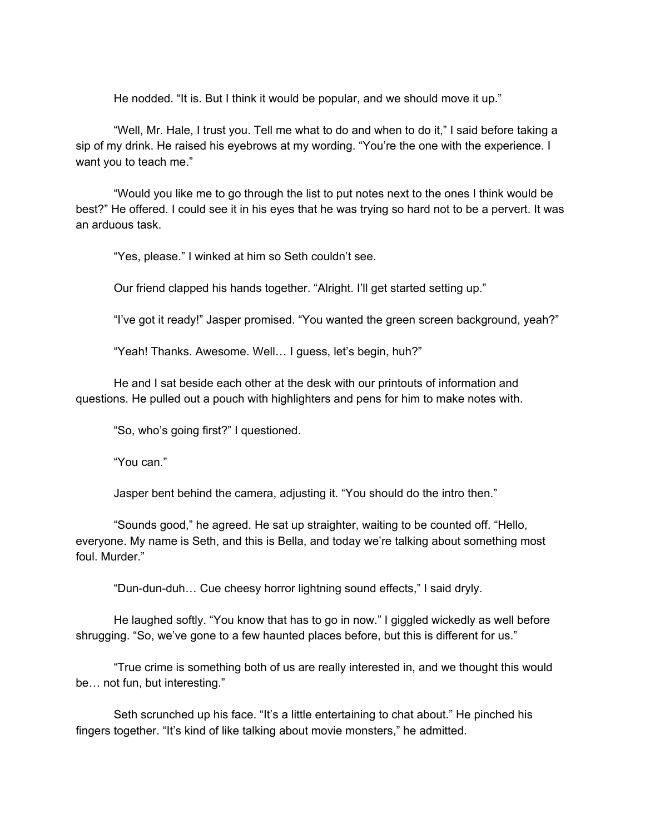He nodded. "It is. But I think it would be popular, and we should move it up."

"Well, Mr. Hale, I trust you. Tell me what to do and when to do it," I said before taking a sip of my drink. He raised his eyebrows at my wording. "You're the one with the experience. I want you to teach me."

"Would you like me to go through the list to put notes next to the ones I think would be best?" He offered. I could see it in his eyes that he was trying so hard not to be a pervert. It was an arduous task.

"Yes, please." I winked at him so Seth couldn't see.

Our friend clapped his hands together. "Alright. I'll get started setting up."

"I've got it ready!" Jasper promised. "You wanted the green screen background, yeah?"

"Yeah! Thanks. Awesome. Well… I guess, let's begin, huh?"

He and I sat beside each other at the desk with our printouts of information and questions. He pulled out a pouch with highlighters and pens for him to make notes with.

"So, who's going first?" I questioned.

"You can."

Jasper bent behind the camera, adjusting it. "You should do the intro then."

"Sounds good," he agreed. He sat up straighter, waiting to be counted off. "Hello, everyone. My name is Seth, and this is Bella, and today we're talking about something most foul. Murder."

"Dun-dun-duh… Cue cheesy horror lightning sound effects," I said dryly.

He laughed softly. "You know that has to go in now." I giggled wickedly as well before shrugging. "So, we've gone to a few haunted places before, but this is different for us."

"True crime is something both of us are really interested in, and we thought this would be… not fun, but interesting."

Seth scrunched up his face. "It's a little entertaining to chat about." He pinched his fingers together. "It's kind of like talking about movie monsters," he admitted.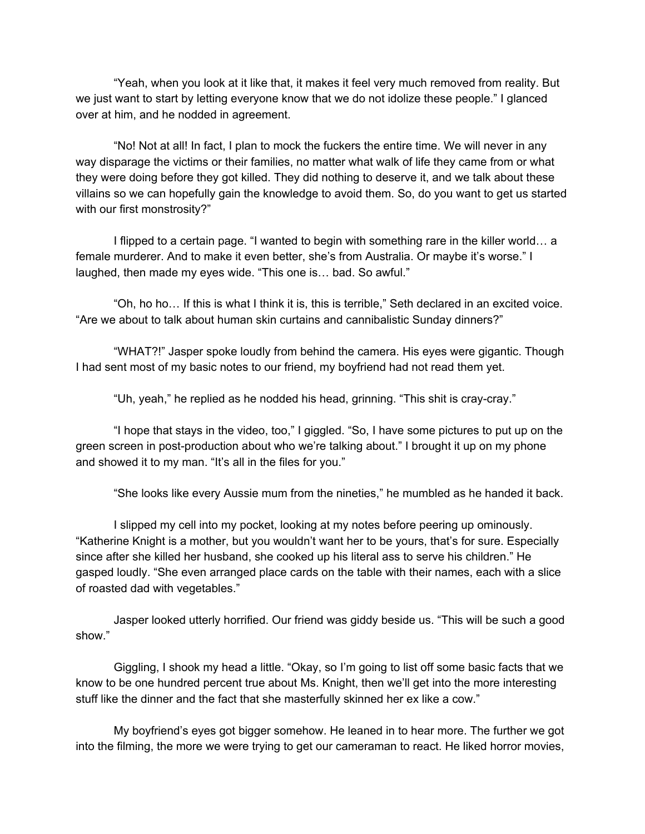"Yeah, when you look at it like that, it makes it feel very much removed from reality. But we just want to start by letting everyone know that we do not idolize these people." I glanced over at him, and he nodded in agreement.

"No! Not at all! In fact, I plan to mock the fuckers the entire time. We will never in any way disparage the victims or their families, no matter what walk of life they came from or what they were doing before they got killed. They did nothing to deserve it, and we talk about these villains so we can hopefully gain the knowledge to avoid them. So, do you want to get us started with our first monstrosity?"

I flipped to a certain page. "I wanted to begin with something rare in the killer world… a female murderer. And to make it even better, she's from Australia. Or maybe it's worse." I laughed, then made my eyes wide. "This one is… bad. So awful."

"Oh, ho ho… If this is what I think it is, this is terrible," Seth declared in an excited voice. "Are we about to talk about human skin curtains and cannibalistic Sunday dinners?"

"WHAT?!" Jasper spoke loudly from behind the camera. His eyes were gigantic. Though I had sent most of my basic notes to our friend, my boyfriend had not read them yet.

"Uh, yeah," he replied as he nodded his head, grinning. "This shit is cray-cray."

"I hope that stays in the video, too," I giggled. "So, I have some pictures to put up on the green screen in post-production about who we're talking about." I brought it up on my phone and showed it to my man. "It's all in the files for you."

"She looks like every Aussie mum from the nineties," he mumbled as he handed it back.

I slipped my cell into my pocket, looking at my notes before peering up ominously. "Katherine Knight is a mother, but you wouldn't want her to be yours, that's for sure. Especially since after she killed her husband, she cooked up his literal ass to serve his children." He gasped loudly. "She even arranged place cards on the table with their names, each with a slice of roasted dad with vegetables."

Jasper looked utterly horrified. Our friend was giddy beside us. "This will be such a good show."

Giggling, I shook my head a little. "Okay, so I'm going to list off some basic facts that we know to be one hundred percent true about Ms. Knight, then we'll get into the more interesting stuff like the dinner and the fact that she masterfully skinned her ex like a cow."

My boyfriend's eyes got bigger somehow. He leaned in to hear more. The further we got into the filming, the more we were trying to get our cameraman to react. He liked horror movies,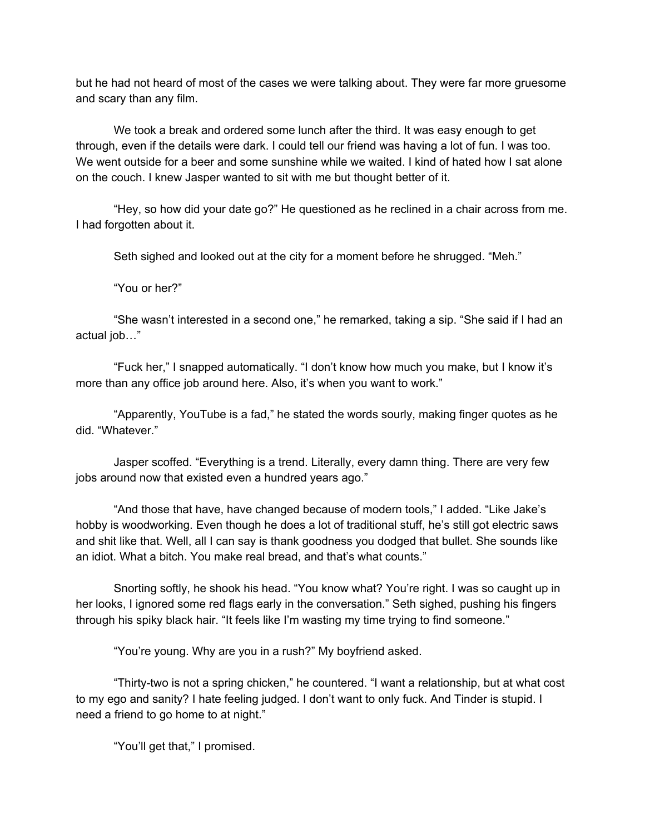but he had not heard of most of the cases we were talking about. They were far more gruesome and scary than any film.

We took a break and ordered some lunch after the third. It was easy enough to get through, even if the details were dark. I could tell our friend was having a lot of fun. I was too. We went outside for a beer and some sunshine while we waited. I kind of hated how I sat alone on the couch. I knew Jasper wanted to sit with me but thought better of it.

"Hey, so how did your date go?" He questioned as he reclined in a chair across from me. I had forgotten about it.

Seth sighed and looked out at the city for a moment before he shrugged. "Meh."

"You or her?"

"She wasn't interested in a second one," he remarked, taking a sip. "She said if I had an actual job…"

"Fuck her," I snapped automatically. "I don't know how much you make, but I know it's more than any office job around here. Also, it's when you want to work."

"Apparently, YouTube is a fad," he stated the words sourly, making finger quotes as he did. "Whatever."

Jasper scoffed. "Everything is a trend. Literally, every damn thing. There are very few jobs around now that existed even a hundred years ago."

"And those that have, have changed because of modern tools," I added. "Like Jake's hobby is woodworking. Even though he does a lot of traditional stuff, he's still got electric saws and shit like that. Well, all I can say is thank goodness you dodged that bullet. She sounds like an idiot. What a bitch. You make real bread, and that's what counts."

Snorting softly, he shook his head. "You know what? You're right. I was so caught up in her looks, I ignored some red flags early in the conversation." Seth sighed, pushing his fingers through his spiky black hair. "It feels like I'm wasting my time trying to find someone."

"You're young. Why are you in a rush?" My boyfriend asked.

"Thirty-two is not a spring chicken," he countered. "I want a relationship, but at what cost to my ego and sanity? I hate feeling judged. I don't want to only fuck. And Tinder is stupid. I need a friend to go home to at night."

"You'll get that," I promised.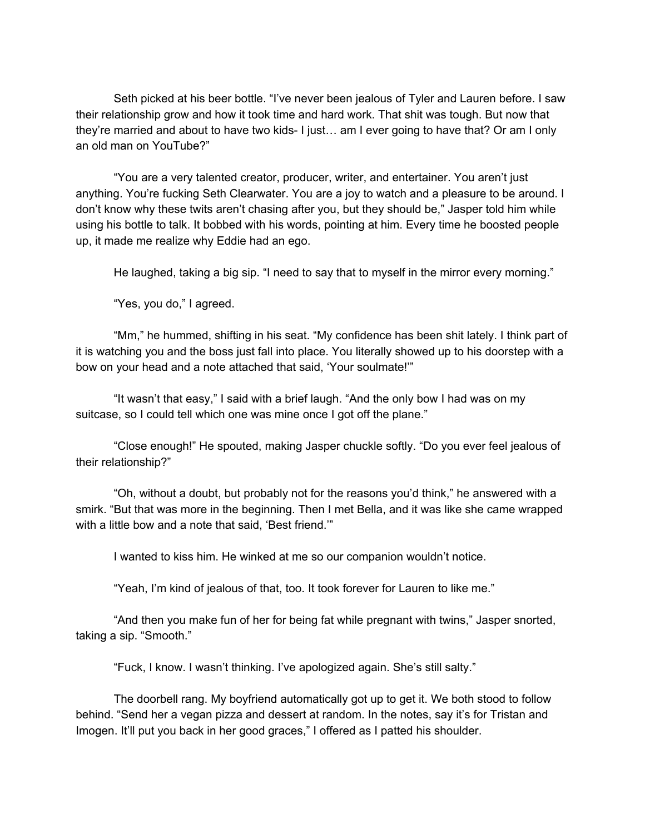Seth picked at his beer bottle. "I've never been jealous of Tyler and Lauren before. I saw their relationship grow and how it took time and hard work. That shit was tough. But now that they're married and about to have two kids- I just… am I ever going to have that? Or am I only an old man on YouTube?"

"You are a very talented creator, producer, writer, and entertainer. You aren't just anything. You're fucking Seth Clearwater. You are a joy to watch and a pleasure to be around. I don't know why these twits aren't chasing after you, but they should be," Jasper told him while using his bottle to talk. It bobbed with his words, pointing at him. Every time he boosted people up, it made me realize why Eddie had an ego.

He laughed, taking a big sip. "I need to say that to myself in the mirror every morning."

"Yes, you do," I agreed.

"Mm," he hummed, shifting in his seat. "My confidence has been shit lately. I think part of it is watching you and the boss just fall into place. You literally showed up to his doorstep with a bow on your head and a note attached that said, 'Your soulmate!'"

"It wasn't that easy," I said with a brief laugh. "And the only bow I had was on my suitcase, so I could tell which one was mine once I got off the plane."

"Close enough!" He spouted, making Jasper chuckle softly. "Do you ever feel jealous of their relationship?"

"Oh, without a doubt, but probably not for the reasons you'd think," he answered with a smirk. "But that was more in the beginning. Then I met Bella, and it was like she came wrapped with a little bow and a note that said, 'Best friend.""

I wanted to kiss him. He winked at me so our companion wouldn't notice.

"Yeah, I'm kind of jealous of that, too. It took forever for Lauren to like me."

"And then you make fun of her for being fat while pregnant with twins," Jasper snorted, taking a sip. "Smooth."

"Fuck, I know. I wasn't thinking. I've apologized again. She's still salty."

The doorbell rang. My boyfriend automatically got up to get it. We both stood to follow behind. "Send her a vegan pizza and dessert at random. In the notes, say it's for Tristan and Imogen. It'll put you back in her good graces," I offered as I patted his shoulder.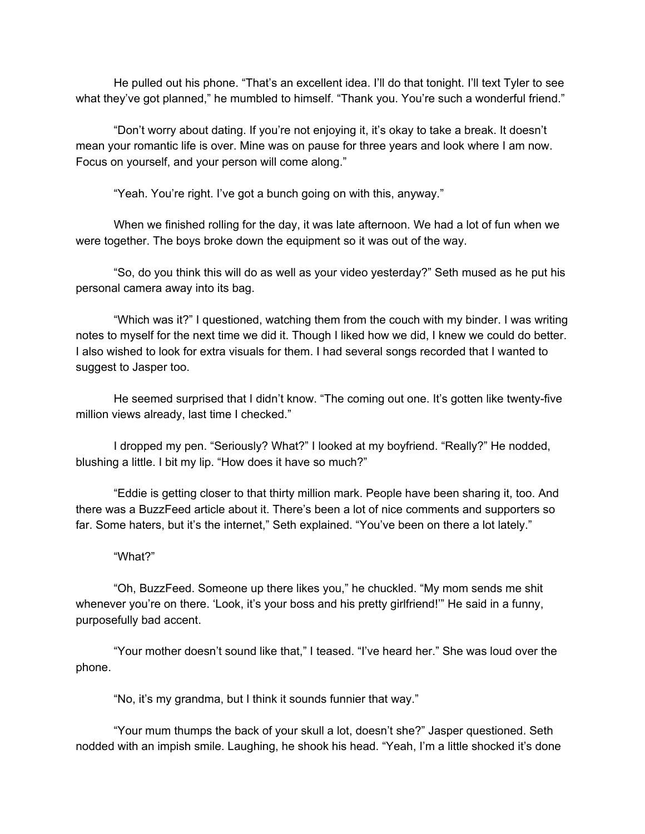He pulled out his phone. "That's an excellent idea. I'll do that tonight. I'll text Tyler to see what they've got planned," he mumbled to himself. "Thank you. You're such a wonderful friend."

"Don't worry about dating. If you're not enjoying it, it's okay to take a break. It doesn't mean your romantic life is over. Mine was on pause for three years and look where I am now. Focus on yourself, and your person will come along."

"Yeah. You're right. I've got a bunch going on with this, anyway."

When we finished rolling for the day, it was late afternoon. We had a lot of fun when we were together. The boys broke down the equipment so it was out of the way.

"So, do you think this will do as well as your video yesterday?" Seth mused as he put his personal camera away into its bag.

"Which was it?" I questioned, watching them from the couch with my binder. I was writing notes to myself for the next time we did it. Though I liked how we did, I knew we could do better. I also wished to look for extra visuals for them. I had several songs recorded that I wanted to suggest to Jasper too.

He seemed surprised that I didn't know. "The coming out one. It's gotten like twenty-five million views already, last time I checked."

I dropped my pen. "Seriously? What?" I looked at my boyfriend. "Really?" He nodded, blushing a little. I bit my lip. "How does it have so much?"

"Eddie is getting closer to that thirty million mark. People have been sharing it, too. And there was a BuzzFeed article about it. There's been a lot of nice comments and supporters so far. Some haters, but it's the internet," Seth explained. "You've been on there a lot lately."

## "What?"

"Oh, BuzzFeed. Someone up there likes you," he chuckled. "My mom sends me shit whenever you're on there. 'Look, it's your boss and his pretty girlfriend!'" He said in a funny, purposefully bad accent.

"Your mother doesn't sound like that," I teased. "I've heard her." She was loud over the phone.

"No, it's my grandma, but I think it sounds funnier that way."

"Your mum thumps the back of your skull a lot, doesn't she?" Jasper questioned. Seth nodded with an impish smile. Laughing, he shook his head. "Yeah, I'm a little shocked it's done